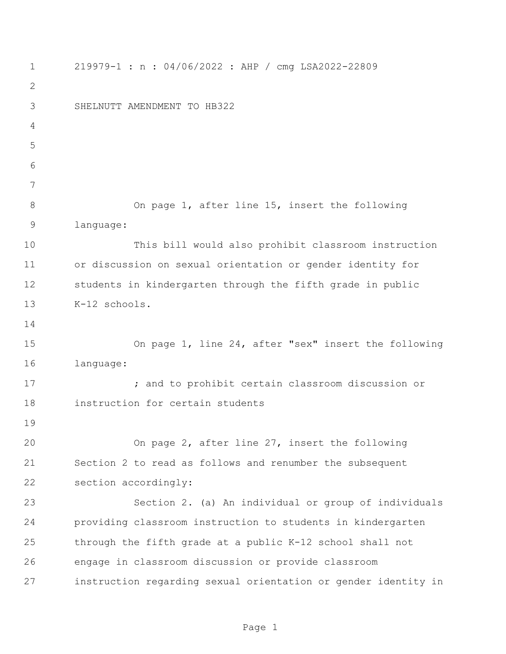219979-1 : n : 04/06/2022 : AHP / cmg LSA2022-22809 SHELNUTT AMENDMENT TO HB322 On page 1, after line 15, insert the following language: This bill would also prohibit classroom instruction or discussion on sexual orientation or gender identity for students in kindergarten through the fifth grade in public K-12 schools. On page 1, line 24, after "sex" insert the following language: **17** and to prohibit certain classroom discussion or instruction for certain students On page 2, after line 27, insert the following Section 2 to read as follows and renumber the subsequent section accordingly: Section 2. (a) An individual or group of individuals providing classroom instruction to students in kindergarten through the fifth grade at a public K-12 school shall not engage in classroom discussion or provide classroom instruction regarding sexual orientation or gender identity in